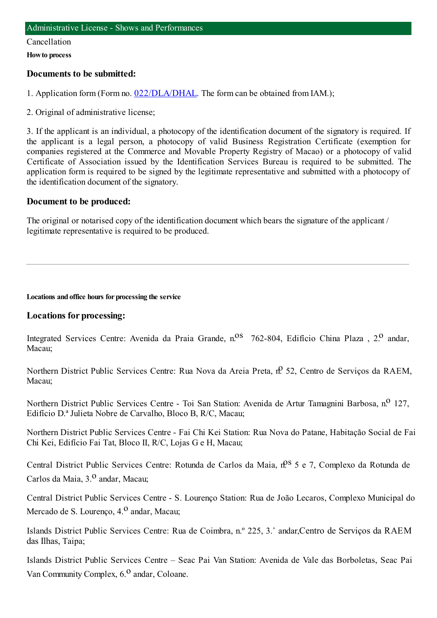#### Cancellation

**Howto process**

## **Documents to be submitted:**

1. Application form (Form no. [022/DLA/DHAL](https://www.iam.gov.mo/c/pdf/eformDetail/PDF1013). The form can be obtained from IAM.);

2. Original of administrative license;

3. If the applicant is an individual, a photocopy of the identification document of the signatory is required. If the applicant is a legal person, a photocopy of valid Business Registration Certificate (exemption for companies registered at the Commerce and Movable Property Registry of Macao) or a photocopy of valid Certificate of Association issued by the Identification Services Bureau is required to be submitted. The application form is required to be signed by the legitimate representative and submitted with a photocopy of the identification document of the signatory.

## **Document to be produced:**

The original or notarised copy of the identification document which bears the signature of the applicant / legitimate representative is required to be produced.

**Locations and office hours for processing the service**

## **Locations for processing:**

Integrated Services Centre: Avenida da Praia Grande, n.<sup>08</sup> 762-804, Edifício China Plaza, 2.<sup>0</sup> andar, Macau;

Northern District Public Services Centre: Rua Nova da Areia Preta, nº 52, Centro de Serviços da RAEM, Macau;

Northern District Public Services Centre - Toi San Station: Avenida de Artur Tamagnini Barbosa, n.º 127, Edifício D.ª Julieta Nobre de Carvalho, Bloco B, R/C, Macau;

Northern District Public Services Centre - Fai Chi Kei Station: Rua Nova do Patane, Habitação Social de Fai Chi Kei, Edifício Fai Tat, Bloco II, R/C, Lojas G e H, Macau;

Central District Public Services Centre: Rotunda de Carlos da Maia,  $n^{0.5}$  5 e 7, Complexo da Rotunda de Carlos da Maia, 3.<sup>0</sup> andar, Macau;

Central District Public Services Centre - S. Lourenço Station: Rua de João Lecaros, Complexo Municipal do Mercado de S. Lourenço, 4.<sup>0</sup> andar, Macau;

Islands District Public Services Centre: Rua de Coimbra, n.º 225, 3.˚ andar,Centro de Serviços da RAEM das Ilhas, Taipa;

Islands District Public Services Centre – Seac Pai Van Station: Avenida de Vale das Borboletas, Seac Pai Van Community Complex, 6.<sup>0</sup> andar, Coloane.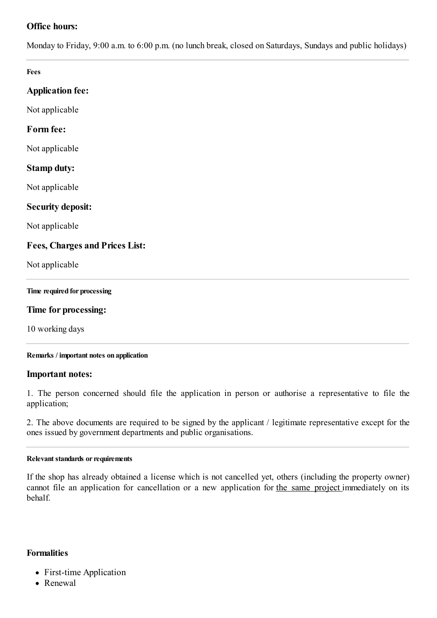# **Office hours:**

Monday to Friday, 9:00 a.m. to 6:00 p.m. (no lunch break, closed on Saturdays, Sundays and public holidays)

**Fees**

## **Application fee:**

Not applicable

## **Form fee:**

Not applicable

### **Stamp duty:**

Not applicable

### **Security deposit:**

Not applicable

## **Fees, Charges and Prices List:**

Not applicable

#### **Time required for processing**

### **Time for processing:**

10 working days

#### **Remarks / important notes on application**

#### **Important notes:**

1. The person concerned should file the application in person or authorise a representative to file the application;

2. The above documents are required to be signed by the applicant / legitimate representative except for the ones issued by government departments and public organisations.

#### **Relevant standards or requirements**

If the shop has already obtained a license which is not cancelled yet, others (including the property owner) cannot file an application for cancellation or a new application for the same project immediately on its behalf.

### **Formalities**

- First-time Application
- Renewal